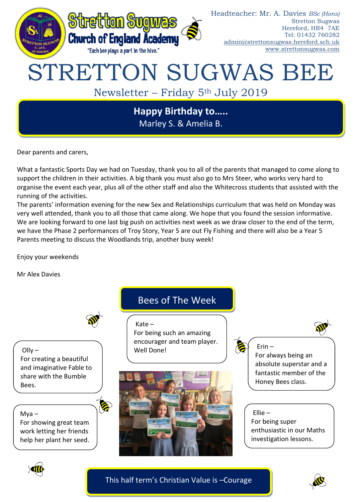

Marley S. & Amelia B.

Dear parents and carers,

What a fantastic Sports Day we had on Tuesday, thank you to all of the parents that managed to come along to support the children in their activities. A big thank you must also go to Mrs Steer, who works very hard to organise the event each year, plus all of the other staff and also the Whitecross students that assisted with the running of the activities.

The parents' information evening for the new Sex and Relationships curriculum that was held on Monday was very well attended, thank you to all those that came along. We hope that you found the session informative. We are looking forward to one last big push on activities next week as we draw closer to the end of the term, we have the Phase 2 performances of Troy Story, Year 5 are out Fly Fishing and there will also be a Year 5 Parents meeting to discuss the Woodlands trip, another busy week!

Enjoy your weekends

Mr Alex Davies



6

 $OIIv -$ 

For creating a beautiful and imaginative Fable to share with the Bumble Bees.

Mya –

For showing great team work letting her friends help her plant her seed.

# Bees of The Week

Kate –

For being such an amazing encourager and team player. Well Done!



Erin – For always being an absolute superstar and a fantastic member of the Honey Bees class.

Ellie – For being super enthusiastic in our Maths investigation lessons.



This half term's Christian Value is –Courage